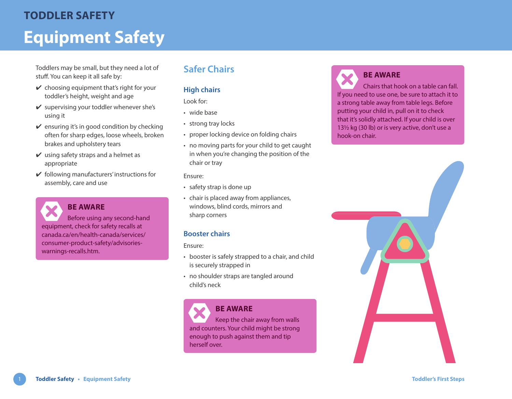# **Equipment Safety TODDLER SAFETY**

Toddlers may be small, but they need a lot of stuff. You can keep it all safe by:

- $\vee$  choosing equipment that's right for your toddler's height, weight and age
- $\vee$  supervising your toddler whenever she's using it
- $\vee$  ensuring it's in good condition by checking often for sharp edges, loose wheels, broken brakes and upholstery tears
- $\vee$  using safety straps and a helmet as appropriate
- $\checkmark$  following manufacturers' instructions for assembly, care and use



Before using any second-hand equipment, check for safety recalls at [canada.ca/en/health-canada/services/](https://www.canada.ca/en/health-canada/services/consumer-product-safety/advisories-warnings-recalls.htm) [consumer-product-safety/advisories](https://www.canada.ca/en/health-canada/services/consumer-product-safety/advisories-warnings-recalls.htm)[warnings-recalls.htm.](https://www.canada.ca/en/health-canada/services/consumer-product-safety/advisories-warnings-recalls.htm)

### **Safer Chairs**

#### **High chairs**

#### Look for:

- wide base
- strong tray locks
- proper locking device on folding chairs
- no moving parts for your child to get caught in when you're changing the position of the chair or tray

#### Ensure:

- safety strap is done up
- chair is placed away from appliances, windows, blind cords, mirrors and sharp corners

#### **Booster chairs**

#### Ensure:

- booster is safely strapped to a chair, and child is securely strapped in
- no shoulder straps are tangled around child's neck

### **BE AWARE**

Keep the chair away from walls and counters. Your child might be strong enough to push against them and tip herself over.

### **BE AWARE** Chairs that hook on a table can fall. If you need to use one, be sure to attach it to

a strong table away from table legs. Before putting your child in, pull on it to check that it's solidly attached. If your child is over 13½ kg (30 lb) or is very active, don't use a hook-on chair.

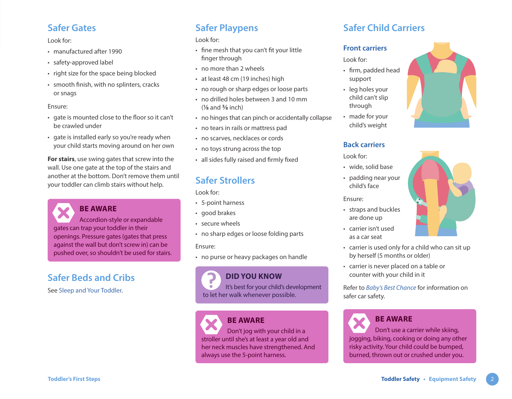### **Safer Gates**

Look for:

- manufactured after 1990
- safety-approved label
- right size for the space being blocked
- smooth finish, with no splinters, cracks or snags

#### Ensure:

- gate is mounted close to the floor so it can't be crawled under
- gate is installed early so you're ready when your child starts moving around on her own

**For stairs**, use swing gates that screw into the wall. Use one gate at the top of the stairs and another at the bottom. Don't remove them until your toddler can climb stairs without help.

**BE AWARE** Accordion-style or expandable gates can trap your toddler in their openings. Pressure gates (gates that press against the wall but don't screw in) can be pushed over, so shouldn't be used for stairs.

## **Safer Beds and Cribs**

See [Sleep and Your Toddler.](https://www.healthlinkbc.ca/sites/default/files/documents/TFS_toddler-sleep.pdf)

### **Safer Playpens**

Look for:

- fine mesh that you can't fit your little finger through
- no more than 2 wheels
- at least 48 cm (19 inches) high
- no rough or sharp edges or loose parts
- no drilled holes between 3 and 10 mm (**⅛** and **⅜** inch)
- no hinges that can pinch or accidentally collapse
- no tears in rails or mattress pad
- no scarves, necklaces or cords
- no toys strung across the top
- all sides fully raised and firmly fixed

## **Safer Strollers**

Look for:

- 5-point harness
- good brakes
- secure wheels
- no sharp edges or loose folding parts

#### Ensure:

• no purse or heavy packages on handle

### **DID YOU KNOW**

It's best for your child's development to let her walk whenever possible.

### **BE AWARE**

Don't jog with your child in a stroller until she's at least a year old and her neck muscles have strengthened. And always use the 5-point harness.

## **Safer Child Carriers**

#### **Front carriers**

Look for:

- firm, padded head support
- leg holes your child can't slip through
- made for your child's weight

#### **Back carriers**

Look for:

- wide, solid base
- padding near your child's face

#### Ensure:

- straps and buckles are done up
- carrier isn't used as a car seat
- carrier is used only for a child who can sit up by herself (5 months or older)
- carrier is never placed on a table or counter with your child in it

Refer to *[Baby's Best Chance](https://www.healthlinkbc.ca/pregnancy-parenting/babys-best-chance)* for information on safer car safety.



### **BE AWARE**

Don't use a carrier while skiing, jogging, biking, cooking or doing any other risky activity. Your child could be bumped, burned, thrown out or crushed under you.